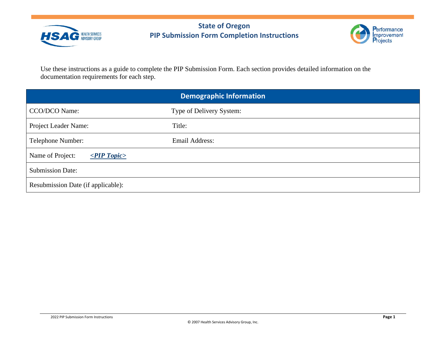



Use these instructions as a guide to complete the PIP Submission Form. Each section provides detailed information on the documentation requirements for each step.

| <b>Demographic Information</b>        |                          |  |
|---------------------------------------|--------------------------|--|
| CCO/DCO Name:                         | Type of Delivery System: |  |
| Project Leader Name:                  | Title:                   |  |
| Telephone Number:                     | Email Address:           |  |
| Name of Project:<br>$\leq$ PIP Topic> |                          |  |
| <b>Submission Date:</b>               |                          |  |
| Resubmission Date (if applicable):    |                          |  |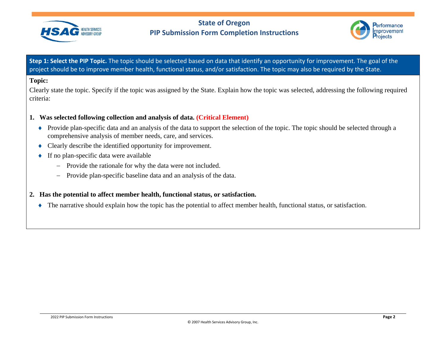



**Step 1: Select the PIP Topic.** The topic should be selected based on data that identify an opportunity for improvement. The goal of the project should be to improve member health, functional status, and/or satisfaction. The topic may also be required by the State.

#### **Topic:**

Clearly state the topic. Specify if the topic was assigned by the State. Explain how the topic was selected, addressing the following required criteria:

## **1. Was selected following collection and analysis of data. (Critical Element)**

- ♦ Provide plan-specific data and an analysis of the data to support the selection of the topic. The topic should be selected through a comprehensive analysis of member needs, care, and services.
- ♦ Clearly describe the identified opportunity for improvement.
- $\bullet$  If no plan-specific data were available
	- − Provide the rationale for why the data were not included.
	- − Provide plan-specific baseline data and an analysis of the data.
- **2. Has the potential to affect member health, functional status, or satisfaction.** 
	- ♦ The narrative should explain how the topic has the potential to affect member health, functional status, or satisfaction.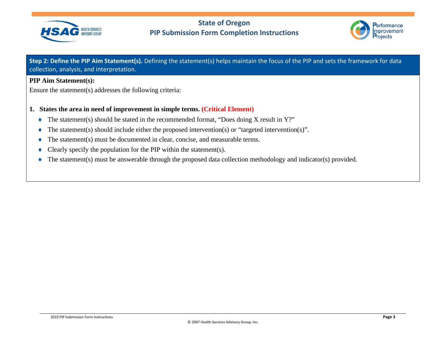



**Step 2: Define the PIP Aim Statement(s).** Defining the statement(s) helps maintain the focus of the PIP and sets the framework for data collection, analysis, and interpretation.

#### **PIP Aim Statement(s):**

Ensure the statement(s) addresses the following criteria:

## **1. States the area in need of improvement in simple terms. (Critical Element)**

- ♦ The statement(s) should be stated in the recommended format, "Does doing X result in Y?"
- $\blacklozenge$  The statement(s) should include either the proposed intervention(s) or "targeted intervention(s)".
- $\blacklozenge$  The statement(s) must be documented in clear, concise, and measurable terms.
- $\blacklozenge$  Clearly specify the population for the PIP within the statement(s).
- ♦ The statement(s) must be answerable through the proposed data collection methodology and indicator(s) provided.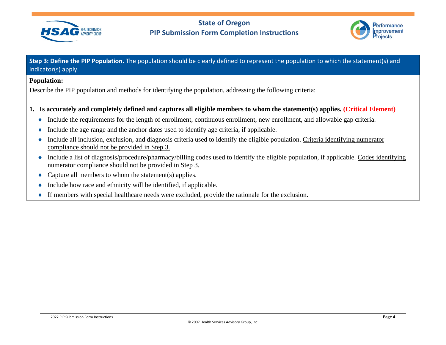



**Step 3: Define the PIP Population.** The population should be clearly defined to represent the population to which the statement(s) and indicator(s) apply.

#### **Population:**

Describe the PIP population and methods for identifying the population, addressing the following criteria:

## **1. Is accurately and completely defined and captures all eligible members to whom the statement(s) applies. (Critical Element)**

- ♦ Include the requirements for the length of enrollment, continuous enrollment, new enrollment, and allowable gap criteria.
- ♦ Include the age range and the anchor dates used to identify age criteria, if applicable.
- ♦ Include all inclusion, exclusion, and diagnosis criteria used to identify the eligible population. Criteria identifying numerator compliance should not be provided in Step 3.
- ♦ Include a list of diagnosis/procedure/pharmacy/billing codes used to identify the eligible population, if applicable. Codes identifying numerator compliance should not be provided in Step 3.
- $\triangle$  Capture all members to whom the statement(s) applies.
- $\bullet$  Include how race and ethnicity will be identified, if applicable.
- ♦ If members with special healthcare needs were excluded, provide the rationale for the exclusion.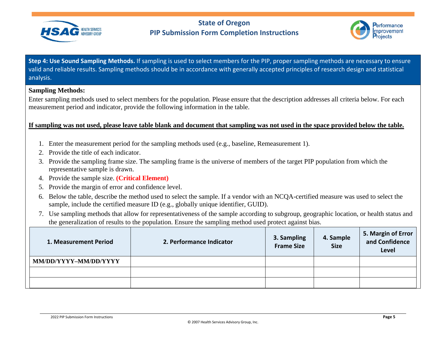



**Step 4: Use Sound Sampling Methods.** If sampling is used to select members for the PIP, proper sampling methods are necessary to ensure valid and reliable results. Sampling methods should be in accordance with generally accepted principles of research design and statistical analysis.

#### **Sampling Methods:**

Enter sampling methods used to select members for the population. Please ensure that the description addresses all criteria below. For each measurement period and indicator, provide the following information in the table.

**If sampling was not used, please leave table blank and document that sampling was not used in the space provided below the table.**

- 1. Enter the measurement period for the sampling methods used (e.g., baseline, Remeasurement 1).
- 2. Provide the title of each indicator.
- 3. Provide the sampling frame size. The sampling frame is the universe of members of the target PIP population from which the representative sample is drawn.
- 4. Provide the sample size. **(Critical Element)**
- 5. Provide the margin of error and confidence level.
- 6. Below the table, describe the method used to select the sample. If a vendor with an NCQA-certified measure was used to select the sample, include the certified measure ID (e.g., globally unique identifier, GUID).
- 7. Use sampling methods that allow for representativeness of the sample according to subgroup, geographic location, or health status and the generalization of results to the population. Ensure the sampling method used protect against bias.

| 1. Measurement Period | 2. Performance Indicator | 3. Sampling<br><b>Frame Size</b> | 4. Sample<br><b>Size</b> | 5. Margin of Error<br>and Confidence<br>Level |
|-----------------------|--------------------------|----------------------------------|--------------------------|-----------------------------------------------|
| MM/DD/YYYY-MM/DD/YYYY |                          |                                  |                          |                                               |
|                       |                          |                                  |                          |                                               |
|                       |                          |                                  |                          |                                               |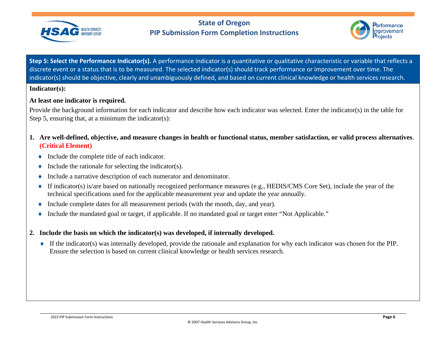



**Step 5: Select the Performance Indicator(s).** A performance indicator is a quantitative or qualitative characteristic or variable that reflects a discrete event or a status that is to be measured. The selected indicator(s) should track performance or improvement over time. The indicator(s) should be objective, clearly and unambiguously defined, and based on current clinical knowledge or health services research.

#### **Indicator(s):**

## **At least one indicator is required.**

Provide the background information for each indicator and describe how each indicator was selected. Enter the indicator(s) in the table for Step 5, ensuring that, at a minimum the indicator(s):

- **1. Are well-defined, objective, and measure changes in health or functional status, member satisfaction, or valid process alternatives**. **(Critical Element)**
	- ♦ Include the complete title of each indicator.
	- $\bullet$  Include the rationale for selecting the indicator(s).
	- ♦ Include a narrative description of each numerator and denominator.
	- ♦ If indicator(s) is/are based on nationally recognized performance measures (e.g., HEDIS/CMS Core Set), include the year of the technical specifications used for the applicable measurement year and update the year annually.
	- ♦ Include complete dates for all measurement periods (with the month, day, and year).
	- ♦ Include the mandated goal or target, if applicable. If no mandated goal or target enter "Not Applicable."
- **2. Include the basis on which the indicator(s) was developed, if internally developed.** 
	- ♦ If the indicator(s) was internally developed, provide the rationale and explanation for why each indicator was chosen for the PIP. Ensure the selection is based on current clinical knowledge or health services research.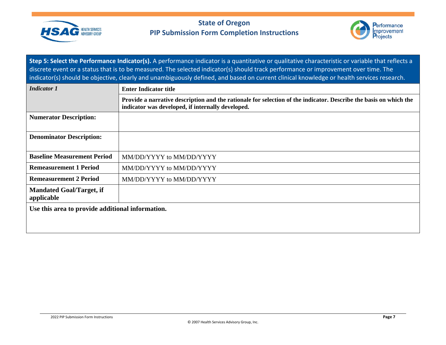



**Step 5: Select the Performance Indicator(s).** A performance indicator is a quantitative or qualitative characteristic or variable that reflects a discrete event or a status that is to be measured. The selected indicator(s) should track performance or improvement over time. The indicator(s) should be objective, clearly and unambiguously defined, and based on current clinical knowledge or health services research.

| <b>Indicator 1</b>                               | <b>Enter Indicator title</b>                                                                                                                                           |  |  |
|--------------------------------------------------|------------------------------------------------------------------------------------------------------------------------------------------------------------------------|--|--|
|                                                  | Provide a narrative description and the rationale for selection of the indicator. Describe the basis on which the<br>indicator was developed, if internally developed. |  |  |
| <b>Numerator Description:</b>                    |                                                                                                                                                                        |  |  |
| <b>Denominator Description:</b>                  |                                                                                                                                                                        |  |  |
| <b>Baseline Measurement Period</b>               | MM/DD/YYYY to MM/DD/YYYY                                                                                                                                               |  |  |
| <b>Remeasurement 1 Period</b>                    | MM/DD/YYYY to MM/DD/YYYY                                                                                                                                               |  |  |
| <b>Remeasurement 2 Period</b>                    | MM/DD/YYYY to MM/DD/YYYY                                                                                                                                               |  |  |
| <b>Mandated Goal/Target, if</b><br>applicable    |                                                                                                                                                                        |  |  |
| Use this area to provide additional information. |                                                                                                                                                                        |  |  |
|                                                  |                                                                                                                                                                        |  |  |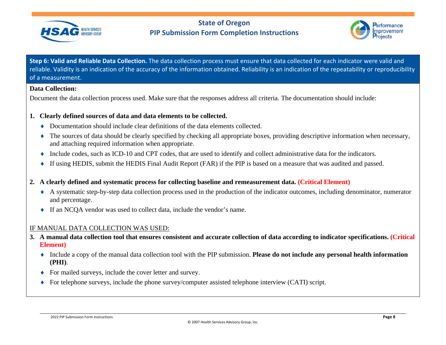



**Step 6: Valid and Reliable Data Collection.** The data collection process must ensure that data collected for each indicator were valid and reliable. Validity is an indication of the accuracy of the information obtained. Reliability is an indication of the repeatability or reproducibility of a measurement.

## **Data Collection:**

Document the data collection process used. Make sure that the responses address all criteria. The documentation should include:

## **1. Clearly defined sources of data and data elements to be collected.**

- $\bullet$  Documentation should include clear definitions of the data elements collected.
- ♦ The sources of data should be clearly specified by checking all appropriate boxes, providing descriptive information when necessary, and attaching required information when appropriate.
- ♦ Include codes, such as ICD-10 and CPT codes, that are used to identify and collect administrative data for the indicators.
- ♦ If using HEDIS, submit the HEDIS Final Audit Report (FAR) if the PIP is based on a measure that was audited and passed.
- **2. A clearly defined and systematic process for collecting baseline and remeasurement data. (Critical Element)**
	- ♦ A systematic step-by-step data collection process used in the production of the indicator outcomes, including denominator, numerator and percentage.
	- ♦ If an NCQA vendor was used to collect data, include the vendor's name.

## IF MANUAL DATA COLLECTION WAS USED:

- **3. A manual data collection tool that ensures consistent and accurate collection of data according to indicator specifications. (Critical Element)**
	- ♦ Include a copy of the manual data collection tool with the PIP submission. **Please do not include any personal health information (PHI)**.
	- ♦ For mailed surveys, include the cover letter and survey.
	- ♦ For telephone surveys, include the phone survey/computer assisted telephone interview (CATI) script.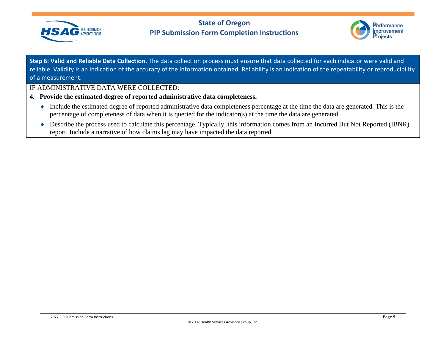



**Step 6: Valid and Reliable Data Collection.** The data collection process must ensure that data collected for each indicator were valid and reliable. Validity is an indication of the accuracy of the information obtained. Reliability is an indication of the repeatability or reproducibility of a measurement.

## IF ADMINISTRATIVE DATA WERE COLLECTED:

- **4. Provide the estimated degree of reported administrative data completeness.** 
	- ♦ Include the estimated degree of reported administrative data completeness percentage at the time the data are generated. This is the percentage of completeness of data when it is queried for the indicator(s) at the time the data are generated.
	- ♦ Describe the process used to calculate this percentage. Typically, this information comes from an Incurred But Not Reported (IBNR) report. Include a narrative of how claims lag may have impacted the data reported.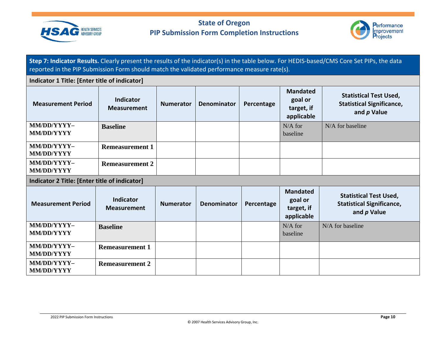



**Step 7: Indicator Results.** Clearly present the results of the indicator(s) in the table below. For HEDIS-based/CMS Core Set PIPs, the data reported in the PIP Submission Form should match the validated performance measure rate(s).

#### **Indicator 1 Title: [Enter title of indicator] Measurement Period Indicator Measurement Numerator Denominator Percentage Mandated goal or target, if applicable Statistical Test Used, Statistical Significance, and** *p* **Value MM/DD/YYYY– MM/DD/YYYY Baseline** N/A for baseline N/A for baseline **MM/DD/YYYY– MM/DD/YYYY Remeasurement 1 MM/DD/YYYY– MM/DD/YYYY Remeasurement 2 Indicator 2 Title: [Enter title of indicator] Measurement Period Indicator Measurement Numerator Denominator Percentage Mandated goal or target, if applicable Statistical Test Used, Statistical Significance, and** *p* **Value MM/DD/YYYY– MM/DD/YYYY Baseline** N/A for baseline N/A for baseline **MM/DD/YYYY– MM/DD/YYYY Remeasurement 1 MM/DD/YYYY– MM/DD/YYYY Remeasurement 2**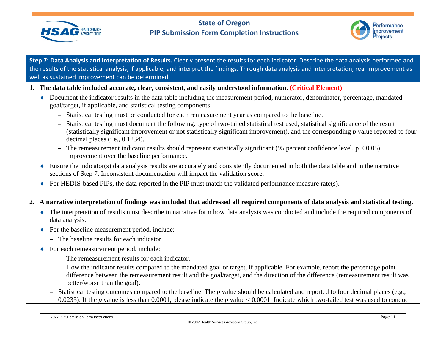



**Step 7: Data Analysis and Interpretation of Results.** Clearly present the results for each indicator. Describe the data analysis performed and the results of the statistical analysis, if applicable, and interpret the findings. Through data analysis and interpretation, real improvement as well as sustained improvement can be determined.

- **1. The data table included accurate, clear, consistent, and easily understood information. (Critical Element)**
	- ♦ Document the indicator results in the data table including the measurement period, numerator, denominator, percentage, mandated goal/target, if applicable, and statistical testing components.
		- Statistical testing must be conducted for each remeasurement year as compared to the baseline.
		- Statistical testing must document the following: type of two-tailed statistical test used, statistical significance of the result (statistically significant improvement or not statistically significant improvement), and the corresponding *p* value reported to four decimal places (i.e., 0.1234).
		- The remeasurement indicator results should represent statistically significant (95 percent confidence level,  $p < 0.05$ ) improvement over the baseline performance.
	- ♦ Ensure the indicator(s) data analysis results are accurately and consistently documented in both the data table and in the narrative sections of Step 7. Inconsistent documentation will impact the validation score.
	- ♦ For HEDIS-based PIPs, the data reported in the PIP must match the validated performance measure rate(s).

## **2. A narrative interpretation of findings was included that addressed all required components of data analysis and statistical testing.**

- ♦ The interpretation of results must describe in narrative form how data analysis was conducted and include the required components of data analysis.
- ♦ For the baseline measurement period, include:
	- The baseline results for each indicator.
- ♦ For each remeasurement period, include:
	- The remeasurement results for each indicator.
	- How the indicator results compared to the mandated goal or target, if applicable. For example, report the percentage point difference between the remeasurement result and the goal/target, and the direction of the difference (remeasurement result was better/worse than the goal).
	- Statistical testing outcomes compared to the baseline. The *p* value should be calculated and reported to four decimal places (e.g., 0.0235). If the *p* value is less than 0.0001, please indicate the *p* value < 0.0001. Indicate which two-tailed test was used to conduct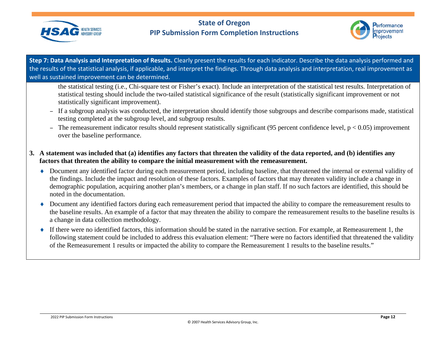



**Step 7: Data Analysis and Interpretation of Results.** Clearly present the results for each indicator. Describe the data analysis performed and the results of the statistical analysis, if applicable, and interpret the findings. Through data analysis and interpretation, real improvement as well as sustained improvement can be determined.

the statistical testing (i.e., Chi-square test or Fisher's exact). Include an interpretation of the statistical test results. Interpretation of statistical testing should include the two-tailed statistical significance of the result (statistically significant improvement or not statistically significant improvement).

- If a subgroup analysis was conducted, the interpretation should identify those subgroups and describe comparisons made, statistical testing completed at the subgroup level, and subgroup results.
- The remeasurement indicator results should represent statistically significant (95 percent confidence level,  $p < 0.05$ ) improvement over the baseline performance.
- **3. A statement was included that (a) identifies any factors that threaten the validity of the data reported, and (b) identifies any factors that threaten the ability to compare the initial measurement with the remeasurement.**
	- ♦ Document any identified factor during each measurement period, including baseline, that threatened the internal or external validity of the findings. Include the impact and resolution of these factors. Examples of factors that may threaten validity include a change in demographic population, acquiring another plan's members, or a change in plan staff. If no such factors are identified, this should be noted in the documentation.
	- ♦ Document any identified factors during each remeasurement period that impacted the ability to compare the remeasurement results to the baseline results. An example of a factor that may threaten the ability to compare the remeasurement results to the baseline results is a change in data collection methodology.
	- $\bullet$  If there were no identified factors, this information should be stated in the narrative section. For example, at Remeasurement 1, the following statement could be included to address this evaluation element: "There were no factors identified that threatened the validity of the Remeasurement 1 results or impacted the ability to compare the Remeasurement 1 results to the baseline results."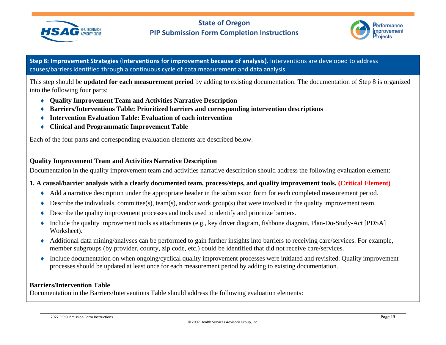



This step should be **updated for each measurement period** by adding to existing documentation. The documentation of Step 8 is organized into the following four parts:

- ♦ **Quality Improvement Team and Activities Narrative Description**
- ♦ **Barriers/Interventions Table: Prioritized barriers and corresponding intervention descriptions**
- ♦ **Intervention Evaluation Table: Evaluation of each intervention**
- ♦ **Clinical and Programmatic Improvement Table**

Each of the four parts and corresponding evaluation elements are described below.

## **Quality Improvement Team and Activities Narrative Description**

Documentation in the quality improvement team and activities narrative description should address the following evaluation element:

## **1. A causal/barrier analysis with a clearly documented team, process/steps, and quality improvement tools. (Critical Element)**

- ♦ Add a narrative description under the appropriate header in the submission form for each completed measurement period.
- $\blacklozenge$  Describe the individuals, committee(s), team(s), and/or work group(s) that were involved in the quality improvement team.
- ♦ Describe the quality improvement processes and tools used to identify and prioritize barriers.
- ♦ Include the quality improvement tools as attachments (e.g., key driver diagram, fishbone diagram, Plan-Do-Study-Act [PDSA] Worksheet).
- ♦ Additional data mining/analyses can be performed to gain further insights into barriers to receiving care/services. For example, member subgroups (by provider, county, zip code, etc.) could be identified that did not receive care/services.
- ♦ Include documentation on when ongoing/cyclical quality improvement processes were initiated and revisited. Quality improvement processes should be updated at least once for each measurement period by adding to existing documentation.

## **Barriers/Intervention Table**

Documentation in the Barriers/Interventions Table should address the following evaluation elements: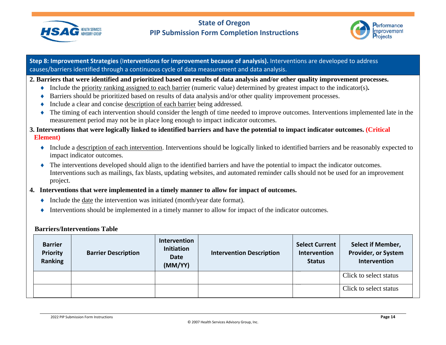



#### **2. Barriers that were identified and prioritized based on results of data analysis and/or other quality improvement processes.**

- ♦ Include the priority ranking assigned to each barrier (numeric value) determined by greatest impact to the indicator(s)**.**
- ♦ Barriers should be prioritized based on results of data analysis and/or other quality improvement processes.
- ♦ Include a clear and concise description of each barrier being addressed.
- ♦ The timing of each intervention should consider the length of time needed to improve outcomes. Interventions implemented late in the measurement period may not be in place long enough to impact indicator outcomes.
- **3. Interventions that were logically linked to identified barriers and have the potential to impact indicator outcomes. (Critical Element)**
	- ♦ Include a description of each intervention. Interventions should be logically linked to identified barriers and be reasonably expected to impact indicator outcomes.
	- ♦ The interventions developed should align to the identified barriers and have the potential to impact the indicator outcomes. Interventions such as mailings, fax blasts, updating websites, and automated reminder calls should not be used for an improvement project.
- **4. Interventions that were implemented in a timely manner to allow for impact of outcomes.**
	- ♦ Include the date the intervention was initiated (month/year date format).
	- ♦ Interventions should be implemented in a timely manner to allow for impact of the indicator outcomes.

#### **Barriers/Interventions Table**

| <b>Barrier</b><br><b>Priority</b><br>Ranking | <b>Barrier Description</b> | Intervention<br><b>Initiation</b><br><b>Date</b><br>(MM/YY) | <b>Intervention Description</b> | <b>Select Current</b><br>Intervention<br><b>Status</b> | <b>Select if Member,</b><br><b>Provider, or System</b><br>Intervention |
|----------------------------------------------|----------------------------|-------------------------------------------------------------|---------------------------------|--------------------------------------------------------|------------------------------------------------------------------------|
|                                              |                            |                                                             |                                 |                                                        | Click to select status                                                 |
|                                              |                            |                                                             |                                 |                                                        | Click to select status                                                 |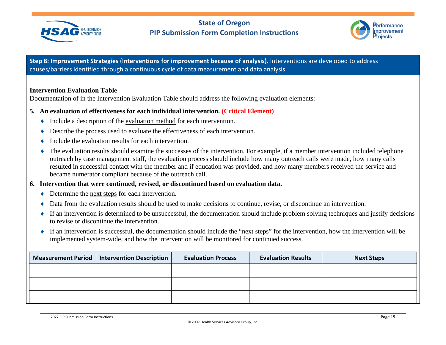



#### **Intervention Evaluation Table**

Documentation of in the Intervention Evaluation Table should address the following evaluation elements:

#### **5. An evaluation of effectiveness for each individual intervention. (Critical Element)**

- ♦ Include a description of the evaluation method for each intervention.
- ♦ Describe the process used to evaluate the effectiveness of each intervention.
- Include the evaluation results for each intervention.
- The evaluation results should examine the successes of the intervention. For example, if a member intervention included telephone outreach by case management staff, the evaluation process should include how many outreach calls were made, how many calls resulted in successful contact with the member and if education was provided, and how many members received the service and became numerator compliant because of the outreach call.

#### **6. Intervention that were continued, revised, or discontinued based on evaluation data.**

- ♦ Determine the next steps for each intervention.
- Data from the evaluation results should be used to make decisions to continue, revise, or discontinue an intervention.
- ♦ If an intervention is determined to be unsuccessful, the documentation should include problem solving techniques and justify decisions to revise or discontinue the intervention.
- ♦ If an intervention is successful, the documentation should include the "next steps" for the intervention, how the intervention will be implemented system-wide, and how the intervention will be monitored for continued success.

| Measurement Period   Intervention Description | <b>Evaluation Process</b> | <b>Evaluation Results</b> | <b>Next Steps</b> |
|-----------------------------------------------|---------------------------|---------------------------|-------------------|
|                                               |                           |                           |                   |
|                                               |                           |                           |                   |
|                                               |                           |                           |                   |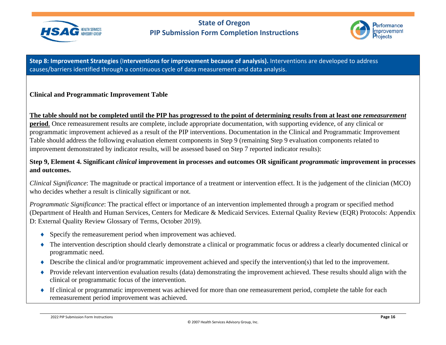



## **Clinical and Programmatic Improvement Table**

#### **The table should not be completed until the PIP has progressed to the point of determining results from at least one** *remeasurement*

**period**. Once remeasurement results are complete, include appropriate documentation, with supporting evidence, of any clinical or programmatic improvement achieved as a result of the PIP interventions. Documentation in the Clinical and Programmatic Improvement Table should address the following evaluation element components in Step 9 (remaining Step 9 evaluation components related to improvement demonstrated by indicator results, will be assessed based on Step 7 reported indicator results):

## **Step 9, Element 4. Significant** *clinical* **improvement in processes and outcomes OR significant** *programmatic* **improvement in processes and outcomes.**

*Clinical Significance*: The magnitude or practical importance of a treatment or intervention effect. It is the judgement of the clinician (MCO) who decides whether a result is clinically significant or not.

*Programmatic Significance*: The practical effect or importance of an intervention implemented through a program or specified method (Department of Health and Human Services, Centers for Medicare & Medicaid Services. External Quality Review (EQR) Protocols: Appendix D: External Quality Review Glossary of Terms, October 2019).

- ♦ Specify the remeasurement period when improvement was achieved.
- ♦ The intervention description should clearly demonstrate a clinical or programmatic focus or address a clearly documented clinical or programmatic need.
- ♦ Describe the clinical and/or programmatic improvement achieved and specify the intervention(s) that led to the improvement.
- ♦ Provide relevant intervention evaluation results (data) demonstrating the improvement achieved. These results should align with the clinical or programmatic focus of the intervention.
- ♦ If clinical or programmatic improvement was achieved for more than one remeasurement period, complete the table for each remeasurement period improvement was achieved.